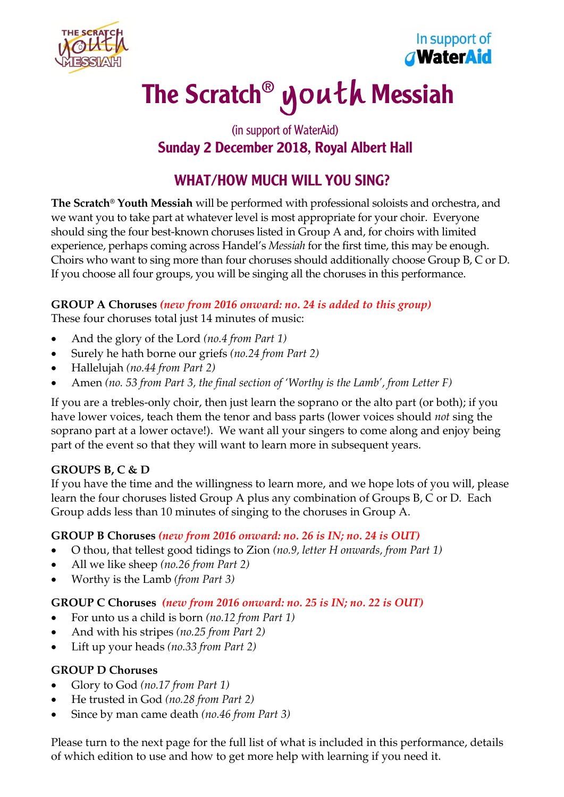



# The Scratch® youth Messiah

# (in support of WaterAid) Sunday 2 December 2018, Royal Albert Hall

# WHAT/HOW MUCH WILL YOU SING?

**The Scratch® Youth Messiah** will be performed with professional soloists and orchestra, and we want you to take part at whatever level is most appropriate for your choir. Everyone should sing the four best-known choruses listed in Group A and, for choirs with limited experience, perhaps coming across Handel's *Messiah* for the first time, this may be enough. Choirs who want to sing more than four choruses should additionally choose Group B, C or D. If you choose all four groups, you will be singing all the choruses in this performance.

# **GROUP A Choruses** *(new from 2016 onward: no. 24 is added to this group)*

These four choruses total just 14 minutes of music:

- And the glory of the Lord *(no.4 from Part 1)*
- Surely he hath borne our griefs *(no.24 from Part 2)*
- Hallelujah *(no.44 from Part 2)*
- Amen *(no. 53 from Part 3, the final section of 'Worthy is the Lamb', from Letter F)*

If you are a trebles-only choir, then just learn the soprano or the alto part (or both); if you have lower voices, teach them the tenor and bass parts (lower voices should *not* sing the soprano part at a lower octave!). We want all your singers to come along and enjoy being part of the event so that they will want to learn more in subsequent years.

#### **GROUPS B, C & D**

If you have the time and the willingness to learn more, and we hope lots of you will, please learn the four choruses listed Group A plus any combination of Groups B, C or D. Each Group adds less than 10 minutes of singing to the choruses in Group A.

# **GROUP B Choruses** *(new from 2016 onward: no. 26 is IN; no. 24 is OUT)*

- O thou, that tellest good tidings to Zion *(no.9, letter H onwards, from Part 1)*
- All we like sheep *(no.26 from Part 2)*
- Worthy is the Lamb *(from Part 3)*

#### **GROUP C Choruses** *(new from 2016 onward: no. 25 is IN; no. 22 is OUT)*

- For unto us a child is born *(no.12 from Part 1)*
- And with his stripes *(no.25 from Part 2)*
- Lift up your heads *(no.33 from Part 2)*

#### **GROUP D Choruses**

- Glory to God *(no.17 from Part 1)*
- He trusted in God *(no.28 from Part 2)*
- Since by man came death *(no.46 from Part 3)*

Please turn to the next page for the full list of what is included in this performance, details of which edition to use and how to get more help with learning if you need it.